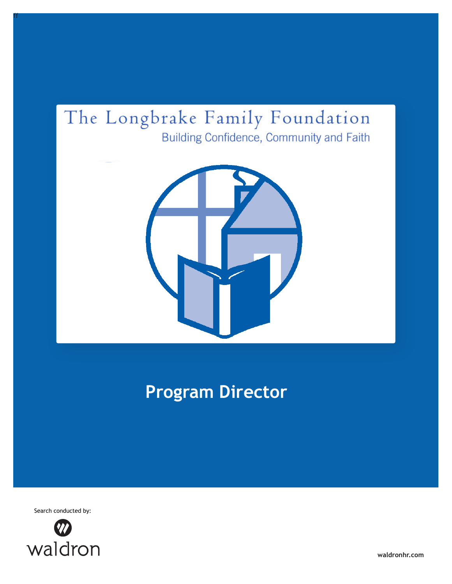## The Longbrake Family Foundation Building Confidence, Community and Faith



# **Program Director**

Search conducted by:

ff



**waldronhr.com**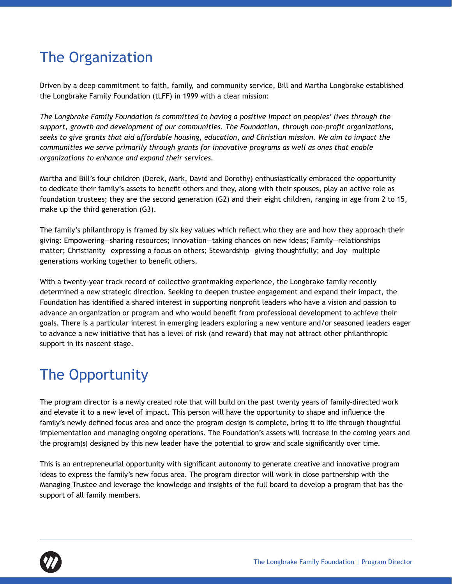### The Organization

Driven by a deep commitment to faith, family, and community service, Bill and Martha Longbrake established the Longbrake Family Foundation (tLFF) in 1999 with a clear mission:

*The Longbrake Family Foundation is committed to having a positive impact on peoples' lives through the support, growth and development of our communities. The Foundation, through non-proft organizations, seeks to give grants that aid affordable housing, education, and Christian mission. We aim to impact the communities we serve primarily through grants for innovative programs as well as ones that enable organizations to enhance and expand their services.*

Martha and Bill's four children (Derek, Mark, David and Dorothy) enthusiastically embraced the opportunity to dedicate their family's assets to beneft others and they, along with their spouses, play an active role as foundation trustees; they are the second generation (G2) and their eight children, ranging in age from 2 to 15, make up the third generation (G3).

The family's philanthropy is framed by six key values which refect who they are and how they approach their giving: Empowering—sharing resources; Innovation—taking chances on new ideas; Family—relationships matter; Christianity—expressing a focus on others; Stewardship—giving thoughtfully; and Joy—multiple generations working together to beneft others.

With a twenty-year track record of collective grantmaking experience, the Longbrake family recently determined a new strategic direction. Seeking to deepen trustee engagement and expand their impact, the Foundation has identifed a shared interest in supporting nonproft leaders who have a vision and passion to advance an organization or program and who would beneft from professional development to achieve their goals. There is a particular interest in emerging leaders exploring a new venture and/or seasoned leaders eager to advance a new initiative that has a level of risk (and reward) that may not attract other philanthropic support in its nascent stage.

### The Opportunity

The program director is a newly created role that will build on the past twenty years of family-directed work and elevate it to a new level of impact. This person will have the opportunity to shape and infuence the family's newly defned focus area and once the program design is complete, bring it to life through thoughtful implementation and managing ongoing operations. The Foundation's assets will increase in the coming years and the program(s) designed by this new leader have the potential to grow and scale signifcantly over time.

This is an entrepreneurial opportunity with signifcant autonomy to generate creative and innovative program ideas to express the family's new focus area. The program director will work in close partnership with the Managing Trustee and leverage the knowledge and insights of the full board to develop a program that has the support of all family members.

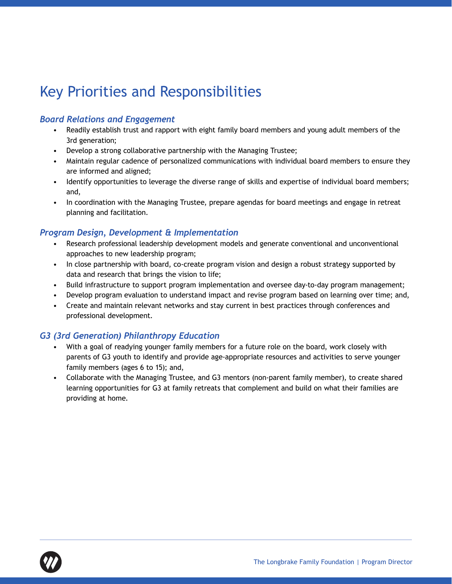### Key Priorities and Responsibilities

#### *Board Relations and Engagement*

- Readily establish trust and rapport with eight family board members and young adult members of the 3rd generation;
- Develop a strong collaborative partnership with the Managing Trustee;
- Maintain regular cadence of personalized communications with individual board members to ensure they are informed and aligned;
- Identify opportunities to leverage the diverse range of skills and expertise of individual board members; and,
- In coordination with the Managing Trustee, prepare agendas for board meetings and engage in retreat planning and facilitation.

#### *Program Design, Development & Implementation*

- Research professional leadership development models and generate conventional and unconventional approaches to new leadership program;
- In close partnership with board, co-create program vision and design a robust strategy supported by data and research that brings the vision to life;
- Build infrastructure to support program implementation and oversee day-to-day program management;
- Develop program evaluation to understand impact and revise program based on learning over time; and,
- Create and maintain relevant networks and stay current in best practices through conferences and professional development.

#### *G3 (3rd Generation) Philanthropy Education*

- With a goal of readying younger family members for a future role on the board, work closely with parents of G3 youth to identify and provide age-appropriate resources and activities to serve younger family members (ages 6 to 15); and,
- Collaborate with the Managing Trustee, and G3 mentors (non-parent family member), to create shared learning opportunities for G3 at family retreats that complement and build on what their families are providing at home.

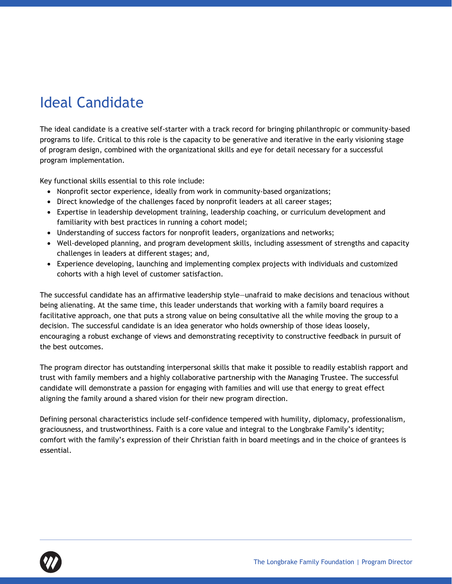## Ideal Candidate

The ideal candidate is a creative self-starter with a track record for bringing philanthropic or community-based programs to life. Critical to this role is the capacity to be generative and iterative in the early visioning stage of program design, combined with the organizational skills and eye for detail necessary for a successful program implementation.

Key functional skills essential to this role include:

- Nonprofit sector experience, ideally from work in community-based organizations;
- Direct knowledge of the challenges faced by nonprofit leaders at all career stages;
- Expertise in leadership development training, leadership coaching, or curriculum development and familiarity with best practices in running a cohort model;
- Understanding of success factors for nonprofit leaders, organizations and networks;
- Well-developed planning, and program development skills, including assessment of strengths and capacity challenges in leaders at different stages; and,
- Experience developing, launching and implementing complex projects with individuals and customized cohorts with a high level of customer satisfaction.

The successful candidate has an affirmative leadership style—unafraid to make decisions and tenacious without being alienating. At the same time, this leader understands that working with a family board requires a facilitative approach, one that puts a strong value on being consultative all the while moving the group to a decision. The successful candidate is an idea generator who holds ownership of those ideas loosely, encouraging a robust exchange of views and demonstrating receptivity to constructive feedback in pursuit of the best outcomes.

The program director has outstanding interpersonal skills that make it possible to readily establish rapport and trust with family members and a highly collaborative partnership with the Managing Trustee. The successful candidate will demonstrate a passion for engaging with families and will use that energy to great effect aligning the family around a shared vision for their new program direction.

Defining personal characteristics include self-confidence tempered with humility, diplomacy, professionalism, graciousness, and trustworthiness. Faith is a core value and integral to the Longbrake Family's identity; comfort with the family's expression of their Christian faith in board meetings and in the choice of grantees is essential.

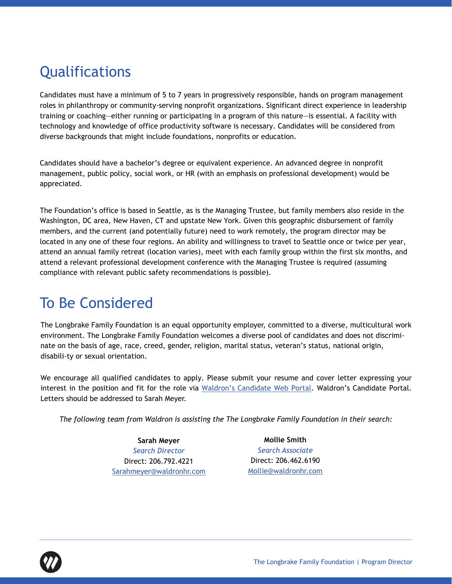## **Qualifications**

Candidates must have a minimum of 5 to 7 years in progressively responsible, hands on program management roles in philanthropy or community-serving nonprofit organizations. Significant direct experience in leadership training or coaching—either running or participating in a program of this nature—is essential. A facility with technology and knowledge of office productivity software is necessary. Candidates will be considered from diverse backgrounds that might include foundations, nonprofits or education.

Candidates should have a bachelor's degree or equivalent experience. An advanced degree in nonprofit management, public policy, social work, or HR (with an emphasis on professional development) would be appreciated.

The Foundation's office is based in Seattle, as is the Managing Trustee, but family members also reside in the Washington, DC area, New Haven, CT and upstate New York. Given this geographic disbursement of family members, and the current (and potentially future) need to work remotely, the program director may be located in any one of these four regions. An ability and willingness to travel to Seattle once or twice per year, attend an annual family retreat (location varies), meet with each family group within the first six months, and attend a relevant professional development conference with the Managing Trustee is required (assuming compliance with relevant public safety recommendations is possible).

### To Be Considered

The Longbrake Family Foundation is an equal opportunity employer, committed to a diverse, multicultural work environment. The Longbrake Family Foundation welcomes a diverse pool of candidates and does not discriminate on the basis of age, race, creed, gender, religion, marital status, veteran's status, national origin, disabili-ty or sexual orientation.

We encourage all qualified candidates to apply. Please submit your resume and cover letter expressing your interest in the position and fit for the role via [Waldron's Candidate Web Portal.](https://careers-waldron.icims.com/jobs/1143/program-director/login) Waldron's Candidate Portal. Letters should be addressed to Sarah Meyer.

*The following team from Waldron is assisting the The Longbrake Family Foundation in their search:*

**Sarah Meyer** *Search Director* Direct: 206.792.4221 Sarahmeyer[@waldronhr.com](mailto:sarahmeyer%40waldronhr.com?subject=Director%20of%20Operations%2C%20The%20Bezos%20Family%20Foundation%20)

**Mollie Smith** *Search Associate* Direct: 206.462.6190 Mollie[@waldronhr.com](mailto:sarahmeyer%40waldronhr.com?subject=Director%20of%20Operations%2C%20The%20Bezos%20Family%20Foundation%20)